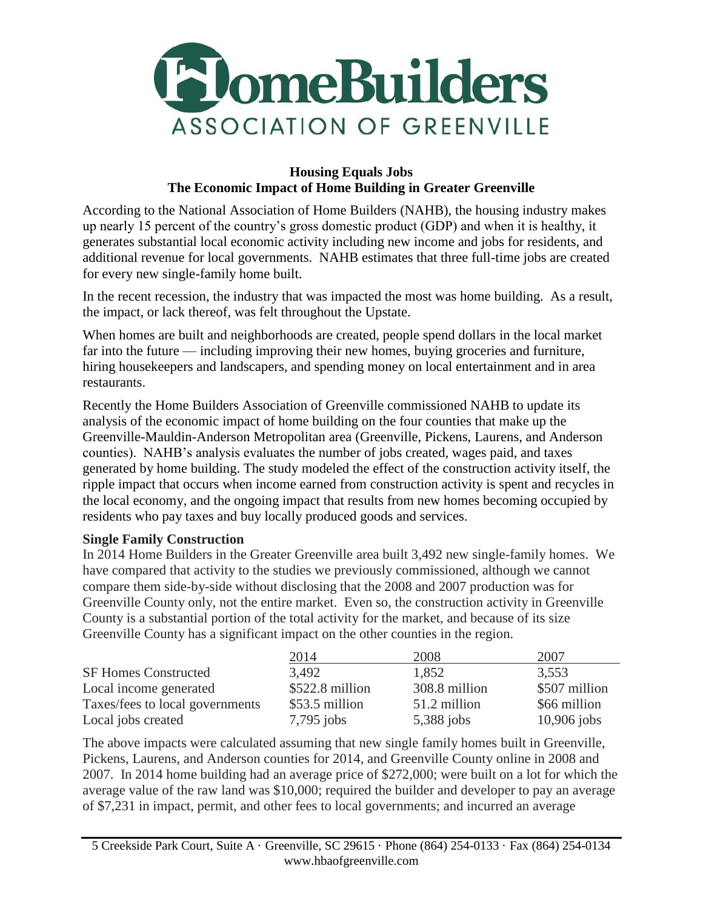

#### **Housing Equals Jobs The Economic Impact of Home Building in Greater Greenville**

According to the National Association of Home Builders (NAHB), the housing industry makes up nearly 15 percent of the country's gross domestic product (GDP) and when it is healthy, it generates substantial local economic activity including new income and jobs for residents, and additional revenue for local governments. NAHB estimates that three full-time jobs are created for every new single-family home built.

In the recent recession, the industry that was impacted the most was home building. As a result, the impact, or lack thereof, was felt throughout the Upstate.

When homes are built and neighborhoods are created, people spend dollars in the local market far into the future — including improving their new homes, buying groceries and furniture, hiring housekeepers and landscapers, and spending money on local entertainment and in area restaurants.

Recently the Home Builders Association of Greenville commissioned NAHB to update its analysis of the economic impact of home building on the four counties that make up the Greenville-Mauldin-Anderson Metropolitan area (Greenville, Pickens, Laurens, and Anderson counties). NAHB's analysis evaluates the number of jobs created, wages paid, and taxes generated by home building. The study modeled the effect of the construction activity itself, the ripple impact that occurs when income earned from construction activity is spent and recycles in the local economy, and the ongoing impact that results from new homes becoming occupied by residents who pay taxes and buy locally produced goods and services.

### **Single Family Construction**

In 2014 Home Builders in the Greater Greenville area built 3,492 new single-family homes. We have compared that activity to the studies we previously commissioned, although we cannot compare them side-by-side without disclosing that the 2008 and 2007 production was for Greenville County only, not the entire market. Even so, the construction activity in Greenville County is a substantial portion of the total activity for the market, and because of its size Greenville County has a significant impact on the other counties in the region.

|                                 | 2014             | 2008          | 2007          |
|---------------------------------|------------------|---------------|---------------|
| <b>SF Homes Constructed</b>     | 3.492            | 1,852         | 3.553         |
| Local income generated          | $$522.8$ million | 308.8 million | \$507 million |
| Taxes/fees to local governments | $$53.5$ million  | 51.2 million  | \$66 million  |
| Local jobs created              | $7,795$ jobs     | 5,388 jobs    | $10,906$ jobs |

The above impacts were calculated assuming that new single family homes built in Greenville, Pickens, Laurens, and Anderson counties for 2014, and Greenville County online in 2008 and 2007. In 2014 home building had an average price of \$272,000; were built on a lot for which the average value of the raw land was \$10,000; required the builder and developer to pay an average of \$7,231 in impact, permit, and other fees to local governments; and incurred an average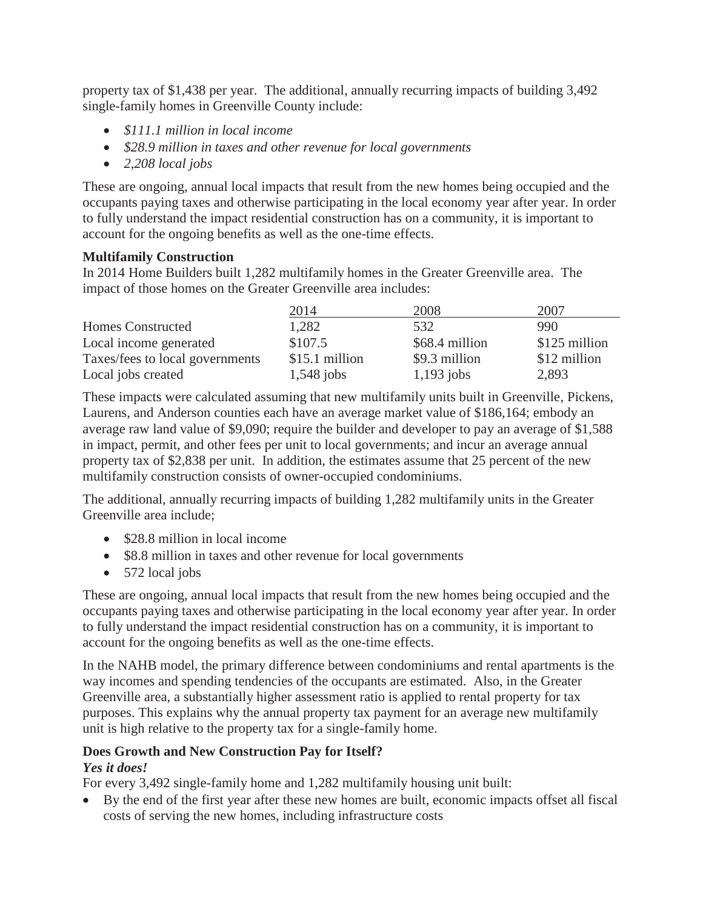property tax of \$1,438 per year. The additional, annually recurring impacts of building 3,492 single-family homes in Greenville County include:

- *\$111.1 million in local income*
- *\$28.9 million in taxes and other revenue for local governments*
- *2,208 local jobs*

These are ongoing, annual local impacts that result from the new homes being occupied and the occupants paying taxes and otherwise participating in the local economy year after year. In order to fully understand the impact residential construction has on a community, it is important to account for the ongoing benefits as well as the one-time effects.

## **Multifamily Construction**

In 2014 Home Builders built 1,282 multifamily homes in the Greater Greenville area. The impact of those homes on the Greater Greenville area includes:

|                                 | 2014           | 2008           | 2007          |
|---------------------------------|----------------|----------------|---------------|
| <b>Homes Constructed</b>        | 1,282          | 532            | 990           |
| Local income generated          | \$107.5        | \$68.4 million | \$125 million |
| Taxes/fees to local governments | \$15.1 million | \$9.3 million  | \$12 million  |
| Local jobs created              | $1,548$ jobs   | $1,193$ jobs   | 2,893         |

These impacts were calculated assuming that new multifamily units built in Greenville, Pickens, Laurens, and Anderson counties each have an average market value of \$186,164; embody an average raw land value of \$9,090; require the builder and developer to pay an average of \$1,588 in impact, permit, and other fees per unit to local governments; and incur an average annual property tax of \$2,838 per unit. In addition, the estimates assume that 25 percent of the new multifamily construction consists of owner-occupied condominiums.

The additional, annually recurring impacts of building 1,282 multifamily units in the Greater Greenville area include;

- \$28.8 million in local income
- \$8.8 million in taxes and other revenue for local governments
- $\bullet$  572 local jobs

These are ongoing, annual local impacts that result from the new homes being occupied and the occupants paying taxes and otherwise participating in the local economy year after year. In order to fully understand the impact residential construction has on a community, it is important to account for the ongoing benefits as well as the one-time effects.

In the NAHB model, the primary difference between condominiums and rental apartments is the way incomes and spending tendencies of the occupants are estimated. Also, in the Greater Greenville area, a substantially higher assessment ratio is applied to rental property for tax purposes. This explains why the annual property tax payment for an average new multifamily unit is high relative to the property tax for a single-family home.

# **Does Growth and New Construction Pay for Itself?**

## *Yes it does!*

For every 3,492 single-family home and 1,282 multifamily housing unit built:

 By the end of the first year after these new homes are built, economic impacts offset all fiscal costs of serving the new homes, including infrastructure costs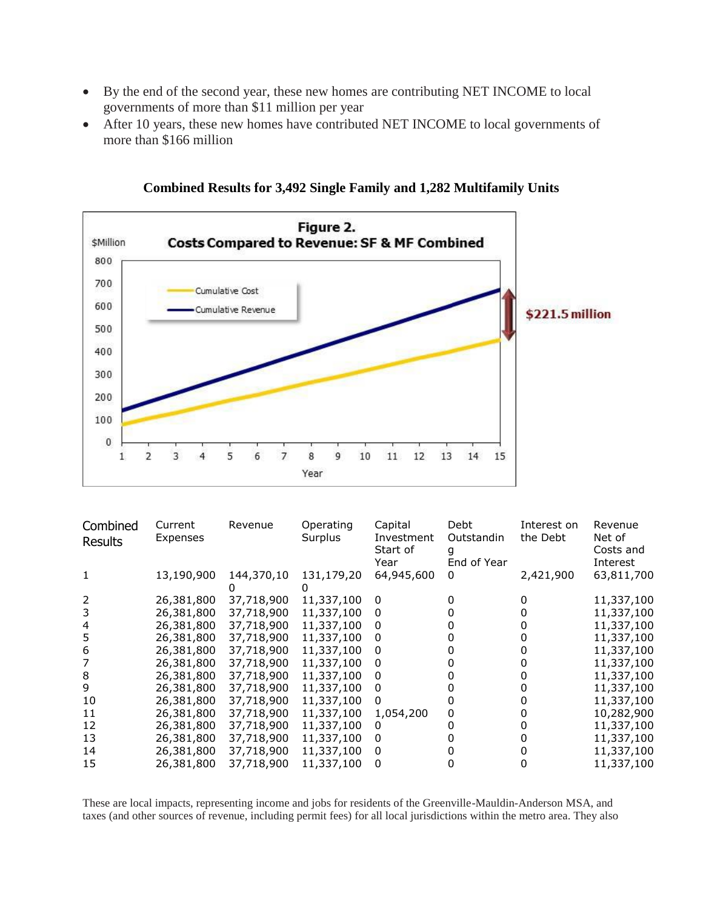- By the end of the second year, these new homes are contributing NET INCOME to local governments of more than \$11 million per year
- After 10 years, these new homes have contributed NET INCOME to local governments of more than \$166 million



**Combined Results for 3,492 Single Family and 1,282 Multifamily Units**

| Combined       | Current    | Revenue    | Operating  | Capital          | Debt             | Interest on | Revenue               |
|----------------|------------|------------|------------|------------------|------------------|-------------|-----------------------|
| <b>Results</b> | Expenses   |            | Surplus    | Investment       | Outstandin       | the Debt    | Net of                |
|                |            |            |            | Start of<br>Year | q<br>End of Year |             | Costs and<br>Interest |
|                | 13,190,900 | 144,370,10 | 131,179,20 | 64,945,600       | 0                | 2,421,900   | 63,811,700            |
|                |            |            |            |                  |                  |             |                       |
| 2              | 26,381,800 | 37,718,900 | 11,337,100 | 0                |                  |             | 11,337,100            |
| 3              | 26,381,800 | 37,718,900 | 11,337,100 | 0                |                  |             | 11,337,100            |
| 4              | 26,381,800 | 37,718,900 | 11,337,100 | 0                |                  |             | 11,337,100            |
| 5              | 26,381,800 | 37,718,900 | 11,337,100 | 0                |                  |             | 11,337,100            |
| 6              | 26,381,800 | 37,718,900 | 11,337,100 | 0                |                  |             | 11,337,100            |
|                | 26,381,800 | 37,718,900 | 11,337,100 | 0                |                  |             | 11,337,100            |
| 8              | 26,381,800 | 37,718,900 | 11,337,100 | 0                |                  |             | 11,337,100            |
| 9              | 26,381,800 | 37,718,900 | 11,337,100 | $\mathbf{0}$     |                  |             | 11,337,100            |
| 10             | 26,381,800 | 37,718,900 | 11,337,100 | 0                |                  |             | 11,337,100            |
| 11             | 26,381,800 | 37,718,900 | 11,337,100 | 1,054,200        | 0                |             | 10,282,900            |
| 12             | 26,381,800 | 37,718,900 | 11,337,100 | 0                |                  |             | 11,337,100            |
| 13             | 26,381,800 | 37,718,900 | 11,337,100 | 0                |                  |             | 11,337,100            |
| 14             | 26,381,800 | 37,718,900 | 11,337,100 | 0                |                  |             | 11,337,100            |
| 15             | 26,381,800 | 37,718,900 | 11,337,100 | 0                |                  |             | 11,337,100            |

These are local impacts, representing income and jobs for residents of the Greenville-Mauldin-Anderson MSA, and taxes (and other sources of revenue, including permit fees) for all local jurisdictions within the metro area. They also